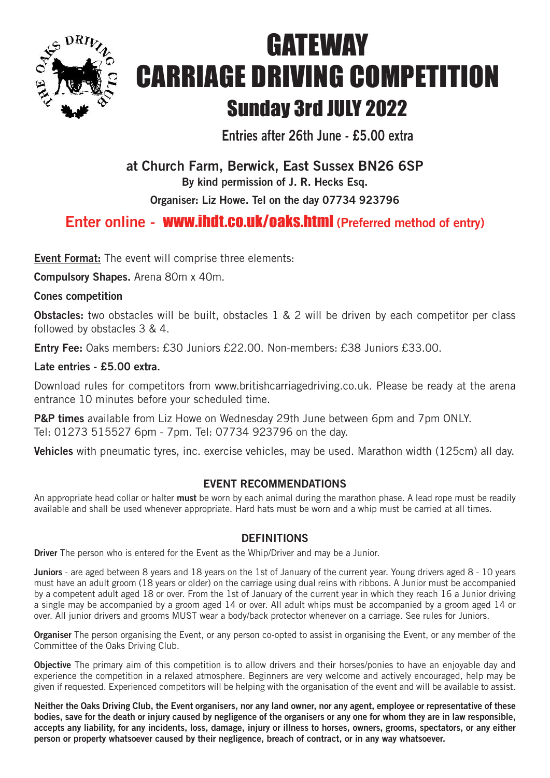

# **GATEWAY** CARRIAGE DRIVING COMPETITION Sunday 3rd JULY 2022

**Entries after 26th June - £5.00 extra**

## **at Church Farm, Berwick, East Sussex BN26 6SP**

**By kind permission of J. R. Hecks Esq.**

**Organiser: Liz Howe. Tel on the day 07734 923796**

## **Enter online -** www.ihdt.co.uk/oaks.html **(Preferred method of entry)**

**Event Format:** The event will comprise three elements:

**Compulsory Shapes.** Arena 80m x 40m.

#### **Cones competition**

**Obstacles:** two obstacles will be built, obstacles 1 & 2 will be driven by each competitor per class followed by obstacles 3 & 4.

**Entry Fee:** Oaks members: £30 Juniors £22.00. Non-members: £38 Juniors £33.00.

#### **Late entries - £5.00 extra.**

Download rules for competitors from www.britishcarriagedriving.co.uk. Please be ready at the arena entrance 10 minutes before your scheduled time.

**P&P times** available from Liz Howe on Wednesday 29th June between 6pm and 7pm ONLY. Tel: 01273 515527 6pm - 7pm. Tel: 07734 923796 on the day.

**Vehicles** with pneumatic tyres, inc. exercise vehicles, may be used. Marathon width (125cm) all day.

#### **EVENT RECOMMENDATIONS**

An appropriate head collar or halter **must** be worn by each animal during the marathon phase. A lead rope must be readily available and shall be used whenever appropriate. Hard hats must be worn and a whip must be carried at all times.

#### **DEFINITIONS**

**Driver** The person who is entered for the Event as the Whip/Driver and may be a Junior.

**Juniors** - are aged between 8 years and 18 years on the 1st of January of the current year. Young drivers aged 8 - 10 years must have an adult groom (18 years or older) on the carriage using dual reins with ribbons. A Junior must be accompanied by a competent adult aged 18 or over. From the 1st of January of the current year in which they reach 16 a Junior driving a single may be accompanied by a groom aged 14 or over. All adult whips must be accompanied by a groom aged 14 or over. All junior drivers and grooms MUST wear a body/back protector whenever on a carriage. See rules for Juniors.

**Organiser** The person organising the Event, or any person co-opted to assist in organising the Event, or any member of the Committee of the Oaks Driving Club.

**Objective** The primary aim of this competition is to allow drivers and their horses/ponies to have an enjoyable day and experience the competition in a relaxed atmosphere. Beginners are very welcome and actively encouraged, help may be given if requested. Experienced competitors will be helping with the organisation of the event and will be available to assist.

Neither the Oaks Driving Club, the Event organisers, nor any land owner, nor any agent, employee or representative of these bodies, save for the death or injury caused by negligence of the organisers or any one for whom they are in law responsible, accepts any liability, for any incidents, loss, damage, injury or illness to horses, owners, grooms, spectators, or any either **person or property whatsoever caused by their negligence, breach of contract, or in any way whatsoever.**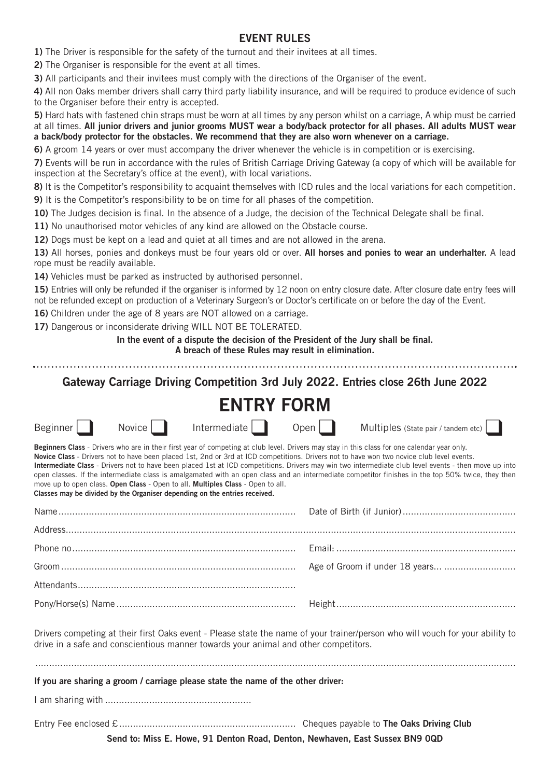#### **EVENT RULES**

**1)** The Driver is responsible for the safety of the turnout and their invitees at all times.

**2)** The Organiser is responsible for the event at all times.

**3)** All participants and their invitees must comply with the directions of the Organiser of the event.

**4)** All non Oaks member drivers shall carry third party liability insurance, and will be required to produce evidence of such to the Organiser before their entry is accepted.

**5)** Hard hats with fastened chin straps must be worn at all times by any person whilst on a carriage, A whip must be carried at all times. All junior drivers and junior grooms MUST wear a body/back protector for all phases. All adults MUST wear **a back/body protector for the obstacles. We recommend that they are also worn whenever on a carriage.**

**6)** A groom 14 years or over must accompany the driver whenever the vehicle is in competition or is exercising.

**7)** Events will be run in accordance with the rules of British Carriage Driving Gateway (a copy of which will be available for inspection at the Secretary's office at the event), with local variations.

**8)** It is the Competitor's responsibility to acquaint themselves with ICD rules and the local variations for each competition.

**9)** It is the Competitor's responsibility to be on time for all phases of the competition.

**10)** The Judges decision is final. In the absence of a Judge, the decision of the Technical Delegate shall be final.

**11)** No unauthorised motor vehicles of any kind are allowed on the Obstacle course.

**12)** Dogs must be kept on a lead and quiet at all times and are not allowed in the arena.

**13)** All horses, ponies and donkeys must be four years old or over. **All horses and ponies to wear an underhalter.** A lead rope must be readily available.

**14)** Vehicles must be parked as instructed by authorised personnel.

**15)** Entries will only be refunded if the organiser is informed by 12 noon on entry closure date. After closure date entry fees will not be refunded except on production of a Veterinary Surgeon's or Doctor's certificate on or before the day of the Event.

**16)** Children under the age of 8 years are NOT allowed on a carriage.

**17)** Dangerous or inconsiderate driving WILL NOT BE TOLERATED.

**In the event of a dispute the decision of the President of the Jury shall be final.**

**A breach of these Rules may result in elimination.**

**Gateway Carriage Driving Competition 3rd July 2022. Entries close 26th June 2022**

### **ENTRY FORM** Beginner | Novice | Intermediate | Open | Multiples (State pair / tandem etc) **Beginners Class** - Drivers who are in their first year of competing at club level. Drivers may stay in this class for one calendar year only. **Novice Class** - Drivers not to have been placed 1st, 2nd or 3rd at ICD competitions. Drivers not to have won two novice club level events. **Intermediate Class** - Drivers not to have been placed 1st at ICD competitions. Drivers may win two intermediate club level events - then move up into open classes. If the intermediate class is amalgamated with an open class and an intermediate competitor finishes in the top 50% twice, they then move up to open class. **Open Class** - Open to all. **Multiples Class** - Open to all. **Classes may be divided by the Organiser depending on the entries received.** Name...................................................................................... Date of Birth (if Junior)......................................... Address................................................................................................................................................................... Phone no................................................................................. Email: ................................................................. Groom..................................................................................... Age of Groom if under 18 years... .......................... Attendants............................................................................... Pony/Horse(s) Name ................................................................. Height................................................................. Drivers competing at their first Oaks event - Please state the name of your trainer/person who will vouch for your ability to drive in a safe and conscientious manner towards your animal and other competitors. .............................................................................................................................................................................. **If you are sharing a groom / carriage please state the name of the other driver:** I am sharing with ..................................................... Entry Fee enclosed £................................................................ Cheques payable to **The Oaks Driving Club**

**Send to: Miss E. Howe, 91 Denton Road, Denton, Newhaven, East Sussex BN9 0QD**